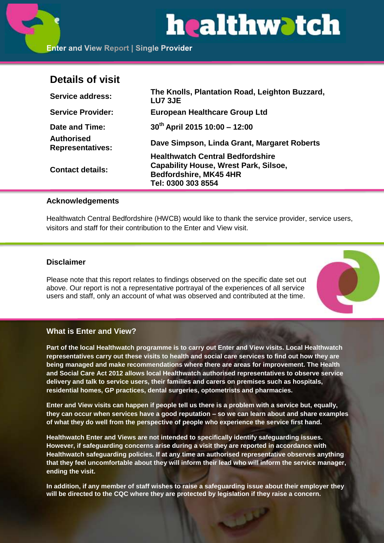# healthwatch

# **Details of visit**

| <b>Service address:</b>               | The Knolls, Plantation Road, Leighton Buzzard,<br><b>LU7 3JE</b> |
|---------------------------------------|------------------------------------------------------------------|
| <b>Service Provider:</b>              | <b>European Healthcare Group Ltd</b>                             |
| Date and Time:                        | 30th April 2015 10:00 - 12:00                                    |
| Authorised<br><b>Representatives:</b> | Dave Simpson, Linda Grant, Margaret Roberts                      |
|                                       | <b>Healthwatch Central Bedfordshire</b>                          |
| <b>Contact details:</b>               | <b>Capability House, Wrest Park, Silsoe,</b>                     |
|                                       | <b>Bedfordshire, MK45 4HR</b>                                    |
|                                       | Tel: 0300 303 8554                                               |

# **Acknowledgements**

Healthwatch Central Bedfordshire (HWCB) would like to thank the service provider, service users, visitors and staff for their contribution to the Enter and View visit.

# **Disclaimer**

Please note that this report relates to findings observed on the specific date set out above. Our report is not a representative portrayal of the experiences of all service users and staff, only an account of what was observed and contributed at the time.



# **What is Enter and View?**

**Part of the local Healthwatch programme is to carry out Enter and View visits. Local Healthwatch representatives carry out these visits to health and social care services to find out how they are being managed and make recommendations where there are areas for improvement. The Health and Social Care Act 2012 allows local Healthwatch authorised representatives to observe service delivery and talk to service users, their families and carers on premises such as hospitals, residential homes, GP practices, dental surgeries, optometrists and pharmacies.** 

**Enter and View visits can happen if people tell us there is a problem with a service but, equally, they can occur when services have a good reputation – so we can learn about and share examples of what they do well from the perspective of people who experience the service first hand.**

**Healthwatch Enter and Views are not intended to specifically identify safeguarding issues. However, if safeguarding concerns arise during a visit they are reported in accordance with Healthwatch safeguarding policies. If at any time an authorised representative observes anything that they feel uncomfortable about they will inform their lead who will inform the service manager, ending the visit.** 

**In addition, if any member of staff wishes to raise a safeguarding issue about their employer they will be directed to the CQC where they are protected by legislation if they raise a concern.**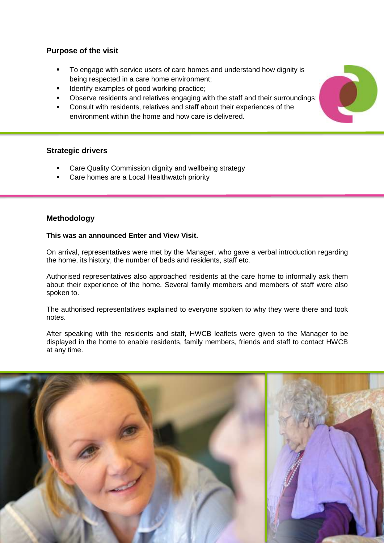# **Purpose of the visit**

- To engage with service users of care homes and understand how dignity is being respected in a care home environment;
- Identify examples of good working practice;
- Observe residents and relatives engaging with the staff and their surroundings;
- Consult with residents, relatives and staff about their experiences of the environment within the home and how care is delivered.

# **Strategic drivers**

- Care Quality Commission dignity and wellbeing strategy
- Care homes are a Local Healthwatch priority

# **Methodology**

#### **This was an announced Enter and View Visit.**

On arrival, representatives were met by the Manager, who gave a verbal introduction regarding the home, its history, the number of beds and residents, staff etc.

Authorised representatives also approached residents at the care home to informally ask them about their experience of the home. Several family members and members of staff were also spoken to.

The authorised representatives explained to everyone spoken to why they were there and took notes.

After speaking with the residents and staff, HWCB leaflets were given to the Manager to be displayed in the home to enable residents, family members, friends and staff to contact HWCB at any time.



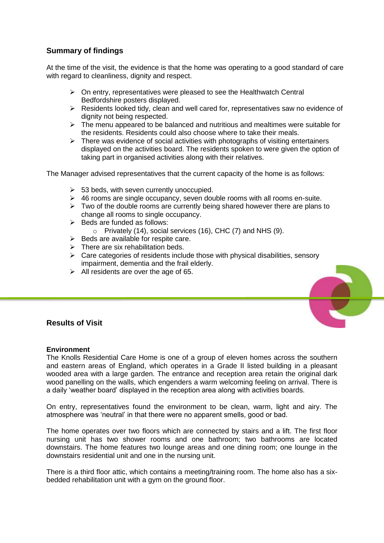# **Summary of findings**

At the time of the visit, the evidence is that the home was operating to a good standard of care with regard to cleanliness, dignity and respect.

- $\triangleright$  On entry, representatives were pleased to see the Healthwatch Central Bedfordshire posters displayed.
- $\triangleright$  Residents looked tidy, clean and well cared for, representatives saw no evidence of dignity not being respected.
- $\triangleright$  The menu appeared to be balanced and nutritious and mealtimes were suitable for the residents. Residents could also choose where to take their meals.
- $\triangleright$  There was evidence of social activities with photographs of visiting entertainers displayed on the activities board. The residents spoken to were given the option of taking part in organised activities along with their relatives.

The Manager advised representatives that the current capacity of the home is as follows:

- $\geq$  53 beds, with seven currently unoccupied.
- $\triangleright$  46 rooms are single occupancy, seven double rooms with all rooms en-suite.
- $\triangleright$  Two of the double rooms are currently being shared however there are plans to change all rooms to single occupancy.
- $\triangleright$  Beds are funded as follows:
	- o Privately (14), social services (16), CHC (7) and NHS (9).
- $\triangleright$  Beds are available for respite care.
- $\triangleright$  There are six rehabilitation beds.
- $\triangleright$  Care categories of residents include those with physical disabilities, sensory impairment, dementia and the frail elderly.
- $\triangleright$  All residents are over the age of 65.

# **Results of Visit**

#### **Environment**

The Knolls Residential Care Home is one of a group of eleven homes across the southern and eastern areas of England, which operates in a Grade II listed building in a pleasant wooded area with a large garden. The entrance and reception area retain the original dark wood panelling on the walls, which engenders a warm welcoming feeling on arrival. There is a daily 'weather board' displayed in the reception area along with activities boards.

On entry, representatives found the environment to be clean, warm, light and airy. The atmosphere was 'neutral' in that there were no apparent smells, good or bad.

The home operates over two floors which are connected by stairs and a lift. The first floor nursing unit has two shower rooms and one bathroom; two bathrooms are located downstairs. The home features two lounge areas and one dining room; one lounge in the downstairs residential unit and one in the nursing unit.

There is a third floor attic, which contains a meeting/training room. The home also has a sixbedded rehabilitation unit with a gym on the ground floor.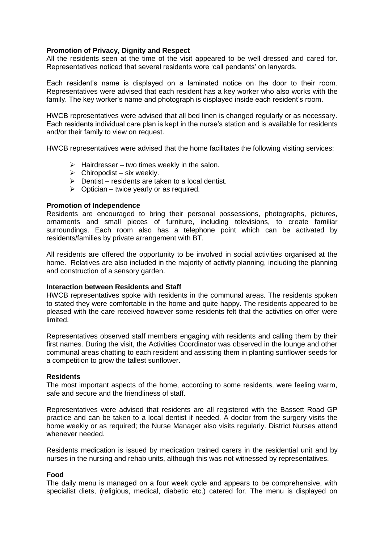#### **Promotion of Privacy, Dignity and Respect**

All the residents seen at the time of the visit appeared to be well dressed and cared for. Representatives noticed that several residents wore 'call pendants' on lanyards.

Each resident's name is displayed on a laminated notice on the door to their room. Representatives were advised that each resident has a key worker who also works with the family. The key worker's name and photograph is displayed inside each resident's room.

HWCB representatives were advised that all bed linen is changed regularly or as necessary. Each residents individual care plan is kept in the nurse's station and is available for residents and/or their family to view on request.

HWCB representatives were advised that the home facilitates the following visiting services:

- $\triangleright$  Hairdresser two times weekly in the salon.
- $\triangleright$  Chiropodist six weekly.
- $\triangleright$  Dentist residents are taken to a local dentist.
- $\triangleright$  Optician twice yearly or as required.

#### **Promotion of Independence**

Residents are encouraged to bring their personal possessions, photographs, pictures, ornaments and small pieces of furniture, including televisions, to create familiar surroundings. Each room also has a telephone point which can be activated by residents/families by private arrangement with BT.

All residents are offered the opportunity to be involved in social activities organised at the home. Relatives are also included in the majority of activity planning, including the planning and construction of a sensory garden.

#### **Interaction between Residents and Staff**

HWCB representatives spoke with residents in the communal areas. The residents spoken to stated they were comfortable in the home and quite happy. The residents appeared to be pleased with the care received however some residents felt that the activities on offer were limited.

Representatives observed staff members engaging with residents and calling them by their first names. During the visit, the Activities Coordinator was observed in the lounge and other communal areas chatting to each resident and assisting them in planting sunflower seeds for a competition to grow the tallest sunflower.

#### **Residents**

The most important aspects of the home, according to some residents, were feeling warm, safe and secure and the friendliness of staff.

Representatives were advised that residents are all registered with the Bassett Road GP practice and can be taken to a local dentist if needed. A doctor from the surgery visits the home weekly or as required; the Nurse Manager also visits regularly. District Nurses attend whenever needed.

Residents medication is issued by medication trained carers in the residential unit and by nurses in the nursing and rehab units, although this was not witnessed by representatives.

#### **Food**

The daily menu is managed on a four week cycle and appears to be comprehensive, with specialist diets, (religious, medical, diabetic etc.) catered for. The menu is displayed on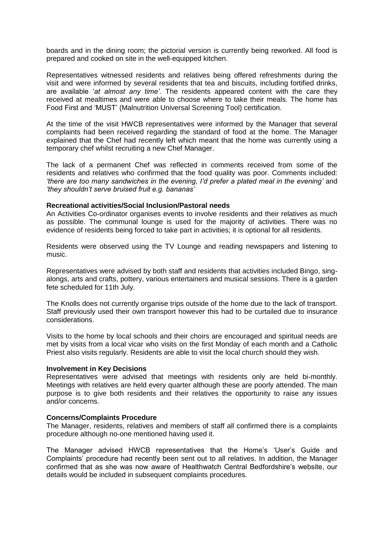boards and in the dining room; the pictorial version is currently being reworked. All food is prepared and cooked on site in the well-equipped kitchen.

Representatives witnessed residents and relatives being offered refreshments during the visit and were informed by several residents that tea and biscuits, including fortified drinks, are available '*at almost any time'*. The residents appeared content with the care they received at mealtimes and were able to choose where to take their meals. The home has Food First and 'MUST' (Malnutrition Universal Screening Tool) certification.

At the time of the visit HWCB representatives were informed by the Manager that several complaints had been received regarding the standard of food at the home. The Manager explained that the Chef had recently left which meant that the home was currently using a temporary chef whilst recruiting a new Chef Manager.

The lack of a permanent Chef was reflected in comments received from some of the residents and relatives who confirmed that the food quality was poor. Comments included: *'there are too many sandwiches in the evening, I'd prefer a plated meal in the evening'* and *'they shouldn't serve bruised fruit e.g. bananas'*

#### **Recreational activities/Social Inclusion/Pastoral needs**

An Activities Co-ordinator organises events to involve residents and their relatives as much as possible. The communal lounge is used for the majority of activities. There was no evidence of residents being forced to take part in activities; it is optional for all residents.

Residents were observed using the TV Lounge and reading newspapers and listening to music.

Representatives were advised by both staff and residents that activities included Bingo, singalongs, arts and crafts, pottery, various entertainers and musical sessions. There is a garden fete scheduled for 11th July.

The Knolls does not currently organise trips outside of the home due to the lack of transport. Staff previously used their own transport however this had to be curtailed due to insurance considerations.

Visits to the home by local schools and their choirs are encouraged and spiritual needs are met by visits from a local vicar who visits on the first Monday of each month and a Catholic Priest also visits regularly. Residents are able to visit the local church should they wish.

#### **Involvement in Key Decisions**

Representatives were advised that meetings with residents only are held bi-monthly. Meetings with relatives are held every quarter although these are poorly attended. The main purpose is to give both residents and their relatives the opportunity to raise any issues and/or concerns.

#### **Concerns/Complaints Procedure**

The Manager, residents, relatives and members of staff all confirmed there is a complaints procedure although no-one mentioned having used it.

The Manager advised HWCB representatives that the Home's 'User's Guide and Complaints' procedure had recently been sent out to all relatives. In addition, the Manager confirmed that as she was now aware of Healthwatch Central Bedfordshire's website, our details would be included in subsequent complaints procedures.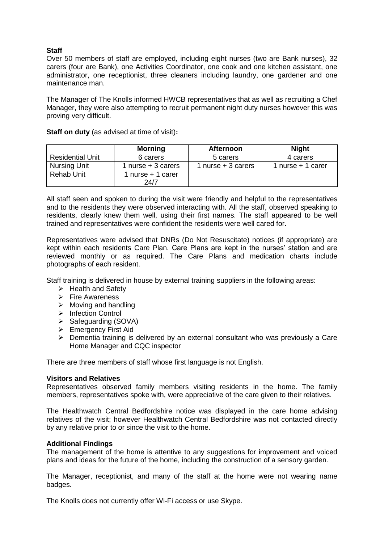### **Staff**

Over 50 members of staff are employed, including eight nurses (two are Bank nurses), 32 carers (four are Bank), one Activities Coordinator, one cook and one kitchen assistant, one administrator, one receptionist, three cleaners including laundry, one gardener and one maintenance man.

The Manager of The Knolls informed HWCB representatives that as well as recruiting a Chef Manager, they were also attempting to recruit permanent night duty nurses however this was proving very difficult.

|                         | <b>Morning</b>      | <b>Afternoon</b>    | <b>Night</b>      |
|-------------------------|---------------------|---------------------|-------------------|
| <b>Residential Unit</b> | 6 carers            | 5 carers            |                   |
| Nursing Unit            | $n$ urse + 3 carers | 1 nurse $+3$ carers | 1 nurse + 1 carer |
| Rehab Unit              | 1 nurse + 1 carer   |                     |                   |
|                         | 24/7                |                     |                   |

**Staff on duty** (as advised at time of visit)**:**

All staff seen and spoken to during the visit were friendly and helpful to the representatives and to the residents they were observed interacting with. All the staff, observed speaking to residents, clearly knew them well, using their first names. The staff appeared to be well trained and representatives were confident the residents were well cared for.

Representatives were advised that DNRs (Do Not Resuscitate) notices (if appropriate) are kept within each residents Care Plan. Care Plans are kept in the nurses' station and are reviewed monthly or as required. The Care Plans and medication charts include photographs of each resident.

Staff training is delivered in house by external training suppliers in the following areas:

- $\triangleright$  Health and Safety
- $\triangleright$  Fire Awareness
- $\triangleright$  Moving and handling
- > Infection Control
- $\triangleright$  Safeguarding (SOVA)
- **Emergency First Aid**
- $\triangleright$  Dementia training is delivered by an external consultant who was previously a Care Home Manager and CQC inspector

There are three members of staff whose first language is not English.

#### **Visitors and Relatives**

Representatives observed family members visiting residents in the home. The family members, representatives spoke with, were appreciative of the care given to their relatives.

The Healthwatch Central Bedfordshire notice was displayed in the care home advising relatives of the visit; however Healthwatch Central Bedfordshire was not contacted directly by any relative prior to or since the visit to the home.

#### **Additional Findings**

The management of the home is attentive to any suggestions for improvement and voiced plans and ideas for the future of the home, including the construction of a sensory garden.

The Manager, receptionist, and many of the staff at the home were not wearing name badges.

The Knolls does not currently offer Wi-Fi access or use Skype.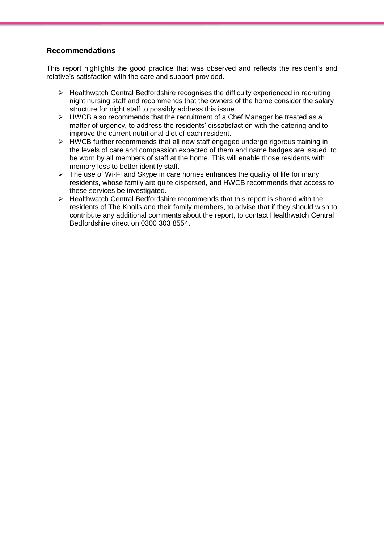# **Recommendations**

This report highlights the good practice that was observed and reflects the resident's and relative's satisfaction with the care and support provided.

- $\triangleright$  Healthwatch Central Bedfordshire recognises the difficulty experienced in recruiting night nursing staff and recommends that the owners of the home consider the salary structure for night staff to possibly address this issue.
- $\triangleright$  HWCB also recommends that the recruitment of a Chef Manager be treated as a matter of urgency, to address the residents' dissatisfaction with the catering and to improve the current nutritional diet of each resident.
- $\triangleright$  HWCB further recommends that all new staff engaged undergo rigorous training in the levels of care and compassion expected of them and name badges are issued, to be worn by all members of staff at the home. This will enable those residents with memory loss to better identify staff.
- $\triangleright$  The use of Wi-Fi and Skype in care homes enhances the quality of life for many residents, whose family are quite dispersed, and HWCB recommends that access to these services be investigated.
- $\triangleright$  Healthwatch Central Bedfordshire recommends that this report is shared with the residents of The Knolls and their family members, to advise that if they should wish to contribute any additional comments about the report, to contact Healthwatch Central Bedfordshire direct on 0300 303 8554.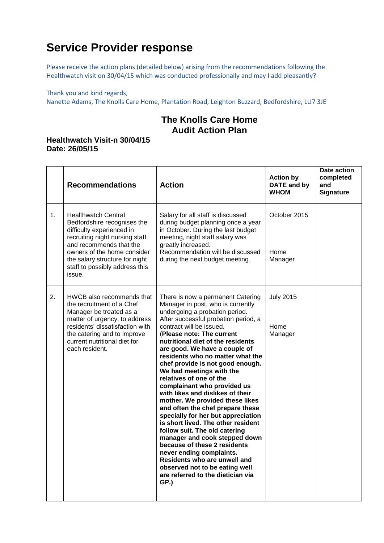# **Service Provider response**

Please receive the action plans (detailed below) arising from the recommendations following the Healthwatch visit on 30/04/15 which was conducted professionally and may I add pleasantly?

Thank you and kind regards,

Nanette Adams, The Knolls Care Home, Plantation Road, Leighton Buzzard, Bedfordshire, LU7 3JE

# **The Knolls Care Home Audit Action Plan**

# **Healthwatch Visit-n 30/04/15 Date: 26/05/15**

|    | <b>Recommendations</b>                                                                                                                                                                                                                                           | <b>Action</b>                                                                                                                                                                                                                                                                                                                                                                                                                                                                                                                                                                                                                                                                                                                                                                                                                                                                     | <b>Action by</b><br><b>DATE</b> and by<br><b>WHOM</b> | Date action<br>completed<br>and<br><b>Signature</b> |
|----|------------------------------------------------------------------------------------------------------------------------------------------------------------------------------------------------------------------------------------------------------------------|-----------------------------------------------------------------------------------------------------------------------------------------------------------------------------------------------------------------------------------------------------------------------------------------------------------------------------------------------------------------------------------------------------------------------------------------------------------------------------------------------------------------------------------------------------------------------------------------------------------------------------------------------------------------------------------------------------------------------------------------------------------------------------------------------------------------------------------------------------------------------------------|-------------------------------------------------------|-----------------------------------------------------|
| 1. | <b>Healthwatch Central</b><br>Bedfordshire recognises the<br>difficulty experienced in<br>recruiting night nursing staff<br>and recommends that the<br>owners of the home consider<br>the salary structure for night<br>staff to possibly address this<br>issue. | Salary for all staff is discussed<br>during budget planning once a year<br>in October. During the last budget<br>meeting, night staff salary was<br>greatly increased.<br>Recommendation will be discussed<br>during the next budget meeting.                                                                                                                                                                                                                                                                                                                                                                                                                                                                                                                                                                                                                                     | October 2015<br>Home<br>Manager                       |                                                     |
| 2. | HWCB also recommends that<br>the recruitment of a Chef<br>Manager be treated as a<br>matter of urgency, to address<br>residents' dissatisfaction with<br>the catering and to improve<br>current nutritional diet for<br>each resident.                           | There is now a permanent Catering<br>Manager in post, who is currently<br>undergoing a probation period.<br>After successful probation period, a<br>contract will be issued.<br>(Please note: The current<br>nutritional diet of the residents<br>are good. We have a couple of<br>residents who no matter what the<br>chef provide is not good enough.<br>We had meetings with the<br>relatives of one of the<br>complainant who provided us<br>with likes and dislikes of their<br>mother. We provided these likes<br>and often the chef prepare these<br>specially for her but appreciation<br>is short lived. The other resident<br>follow suit. The old catering<br>manager and cook stepped down<br>because of these 2 residents<br>never ending complaints.<br>Residents who are unwell and<br>observed not to be eating well<br>are referred to the dietician via<br>GP.) | <b>July 2015</b><br>Home<br>Manager                   |                                                     |